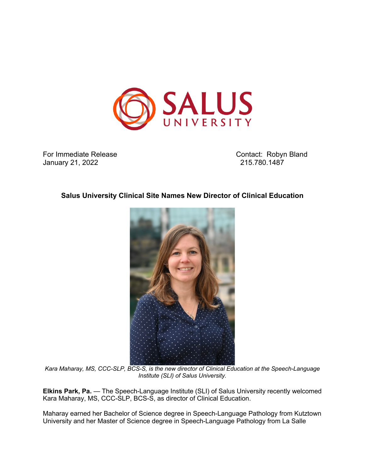

For Immediate Release **Contact: Robyn Bland** January 21, 2022 215.780.1487

## **Salus University Clinical Site Names New Director of Clinical Education**



*Kara Maharay, MS, CCC-SLP, BCS-S, is the new director of Clinical Education at the Speech-Language Institute (SLI) of Salus University.*

**Elkins Park, Pa.** — The Speech-Language Institute (SLI) of Salus University recently welcomed Kara Maharay, MS, CCC-SLP, BCS-S, as director of Clinical Education.

Maharay earned her Bachelor of Science degree in Speech-Language Pathology from Kutztown University and her Master of Science degree in Speech-Language Pathology from La Salle